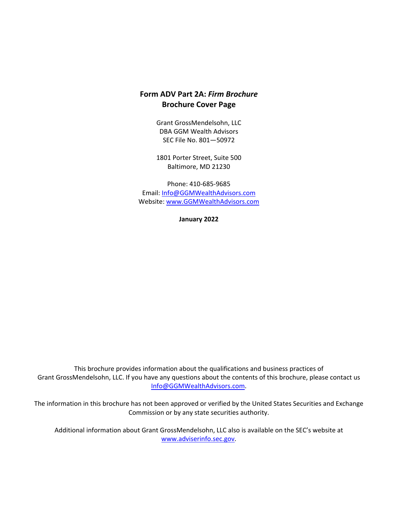# **Form ADV Part 2A:** *Firm Brochure* **Brochure Cover Page**

Grant GrossMendelsohn, LLC DBA GGM Wealth Advisors SEC File No. 801—50972

1801 Porter Street, Suite 500 Baltimore, MD 21230

Phone: 410‐685‐9685 Email: Info@GGMWealthAdvisors.com Website: www.GGMWealthAdvisors.com

**January 2022**

This brochure provides information about the qualifications and business practices of Grant GrossMendelsohn, LLC. If you have any questions about the contents of this brochure, please contact us Info@GGMWealthAdvisors.com.

The information in this brochure has not been approved or verified by the United States Securities and Exchange Commission or by any state securities authority.

Additional information about Grant GrossMendelsohn, LLC also is available on the SEC's website at www.adviserinfo.sec.gov.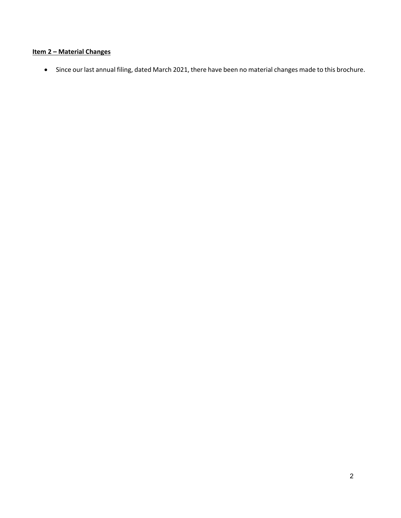# **Item 2 – Material Changes**

Since our last annual filing, dated March 2021, there have been no material changes made to this brochure.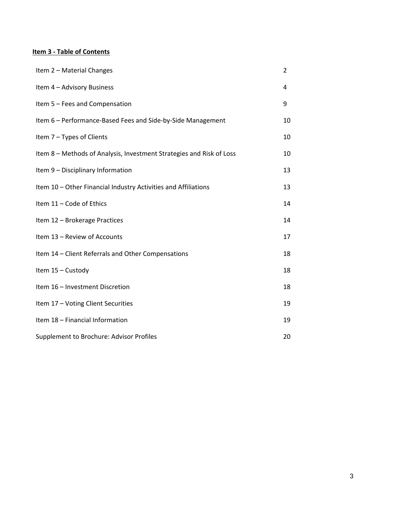# **Item 3 ‐ Table of Contents**

| Item 2 - Material Changes                                            | 2  |
|----------------------------------------------------------------------|----|
| Item 4 - Advisory Business                                           | 4  |
| Item 5 - Fees and Compensation                                       | 9  |
| Item 6 - Performance-Based Fees and Side-by-Side Management          | 10 |
| Item 7 - Types of Clients                                            | 10 |
| Item 8 - Methods of Analysis, Investment Strategies and Risk of Loss | 10 |
| Item 9 - Disciplinary Information                                    | 13 |
| Item 10 - Other Financial Industry Activities and Affiliations       | 13 |
| Item 11 - Code of Ethics                                             | 14 |
| Item 12 - Brokerage Practices                                        | 14 |
| Item 13 - Review of Accounts                                         | 17 |
| Item 14 - Client Referrals and Other Compensations                   | 18 |
| Item 15 - Custody                                                    | 18 |
| Item 16 - Investment Discretion                                      | 18 |
| Item 17 - Voting Client Securities                                   | 19 |
| Item 18 - Financial Information                                      | 19 |
| Supplement to Brochure: Advisor Profiles                             | 20 |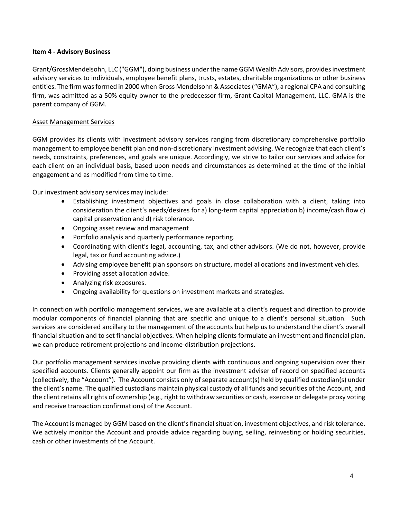### **Item 4 ‐ Advisory Business**

Grant/GrossMendelsohn, LLC ("GGM"), doing business under the name GGM Wealth Advisors, providesinvestment advisory services to individuals, employee benefit plans, trusts, estates, charitable organizations or other business entities. The firm was formed in 2000 when Gross Mendelsohn & Associates ("GMA"), a regional CPA and consulting firm, was admitted as a 50% equity owner to the predecessor firm, Grant Capital Management, LLC. GMA is the parent company of GGM.

### Asset Management Services

GGM provides its clients with investment advisory services ranging from discretionary comprehensive portfolio management to employee benefit plan and non‐discretionary investment advising. We recognize that each client's needs, constraints, preferences, and goals are unique. Accordingly, we strive to tailor our services and advice for each client on an individual basis, based upon needs and circumstances as determined at the time of the initial engagement and as modified from time to time.

Our investment advisory services may include:

- Establishing investment objectives and goals in close collaboration with a client, taking into consideration the client's needs/desires for a) long‐term capital appreciation b) income/cash flow c) capital preservation and d) risk tolerance.
- Ongoing asset review and management
- Portfolio analysis and quarterly performance reporting.
- Coordinating with client's legal, accounting, tax, and other advisors. (We do not, however, provide legal, tax or fund accounting advice.)
- Advising employee benefit plan sponsors on structure, model allocations and investment vehicles.
- Providing asset allocation advice.
- Analyzing risk exposures.
- Ongoing availability for questions on investment markets and strategies.

In connection with portfolio management services, we are available at a client's request and direction to provide modular components of financial planning that are specific and unique to a client's personal situation. Such services are considered ancillary to the management of the accounts but help us to understand the client's overall financial situation and to set financial objectives. When helping clients formulate an investment and financial plan, we can produce retirement projections and income-distribution projections.

Our portfolio management services involve providing clients with continuous and ongoing supervision over their specified accounts. Clients generally appoint our firm as the investment adviser of record on specified accounts (collectively, the "Account"). The Account consists only of separate account(s) held by qualified custodian(s) under the client's name. The qualified custodians maintain physical custody of all funds and securities of the Account, and the client retains all rights of ownership (e.g., right to withdraw securities or cash, exercise or delegate proxy voting and receive transaction confirmations) of the Account.

The Account is managed by GGM based on the client's financial situation, investment objectives, and risk tolerance. We actively monitor the Account and provide advice regarding buying, selling, reinvesting or holding securities, cash or other investments of the Account.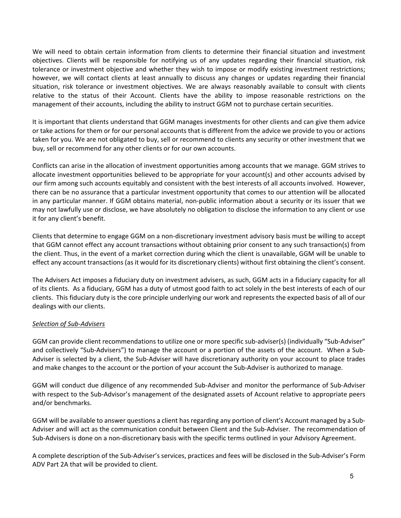We will need to obtain certain information from clients to determine their financial situation and investment objectives. Clients will be responsible for notifying us of any updates regarding their financial situation, risk tolerance or investment objective and whether they wish to impose or modify existing investment restrictions; however, we will contact clients at least annually to discuss any changes or updates regarding their financial situation, risk tolerance or investment objectives. We are always reasonably available to consult with clients relative to the status of their Account. Clients have the ability to impose reasonable restrictions on the management of their accounts, including the ability to instruct GGM not to purchase certain securities.

It is important that clients understand that GGM manages investments for other clients and can give them advice or take actions for them or for our personal accounts that is different from the advice we provide to you or actions taken for you. We are not obligated to buy, sell or recommend to clients any security or other investment that we buy, sell or recommend for any other clients or for our own accounts.

Conflicts can arise in the allocation of investment opportunities among accounts that we manage. GGM strives to allocate investment opportunities believed to be appropriate for your account(s) and other accounts advised by our firm among such accounts equitably and consistent with the best interests of all accounts involved. However, there can be no assurance that a particular investment opportunity that comes to our attention will be allocated in any particular manner. If GGM obtains material, non‐public information about a security or its issuer that we may not lawfully use or disclose, we have absolutely no obligation to disclose the information to any client or use it for any client's benefit.

Clients that determine to engage GGM on a non‐discretionary investment advisory basis must be willing to accept that GGM cannot effect any account transactions without obtaining prior consent to any such transaction(s) from the client. Thus, in the event of a market correction during which the client is unavailable, GGM will be unable to effect any account transactions (as it would for its discretionary clients) without first obtaining the client's consent.

The Advisers Act imposes a fiduciary duty on investment advisers, as such, GGM acts in a fiduciary capacity for all of its clients. As a fiduciary, GGM has a duty of utmost good faith to act solely in the best interests of each of our clients. This fiduciary duty is the core principle underlying our work and represents the expected basis of all of our dealings with our clients.

### *Selection of Sub‐Advisers*

GGM can provide client recommendations to utilize one or more specific sub‐adviser(s) (individually "Sub‐Adviser" and collectively "Sub‐Advisers") to manage the account or a portion of the assets of the account. When a Sub‐ Adviser is selected by a client, the Sub‐Adviser will have discretionary authority on your account to place trades and make changes to the account or the portion of your account the Sub-Adviser is authorized to manage.

GGM will conduct due diligence of any recommended Sub‐Adviser and monitor the performance of Sub‐Adviser with respect to the Sub‐Advisor's management of the designated assets of Account relative to appropriate peers and/or benchmarks.

GGM will be available to answer questions a client has regarding any portion of client's Account managed by a Sub‐ Adviser and will act as the communication conduit between Client and the Sub‐Adviser. The recommendation of Sub‐Advisers is done on a non‐discretionary basis with the specific terms outlined in your Advisory Agreement.

A complete description of the Sub‐Adviser's services, practices and fees will be disclosed in the Sub‐Adviser's Form ADV Part 2A that will be provided to client.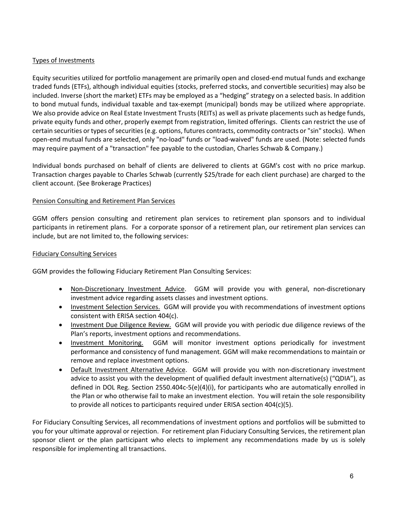## Types of Investments

Equity securities utilized for portfolio management are primarily open and closed‐end mutual funds and exchange traded funds (ETFs), although individual equities (stocks, preferred stocks, and convertible securities) may also be included. Inverse (short the market) ETFs may be employed as a "hedging" strategy on a selected basis. In addition to bond mutual funds, individual taxable and tax‐exempt (municipal) bonds may be utilized where appropriate. We also provide advice on Real Estate Investment Trusts (REITs) as well as private placements such as hedge funds, private equity funds and other, properly exempt from registration, limited offerings. Clients can restrict the use of certain securities or types of securities (e.g. options, futures contracts, commodity contracts or "sin" stocks). When open‐end mutual funds are selected, only "no‐load" funds or "load‐waived" funds are used. (Note: selected funds may require payment of a "transaction" fee payable to the custodian, Charles Schwab & Company.)

Individual bonds purchased on behalf of clients are delivered to clients at GGM's cost with no price markup. Transaction charges payable to Charles Schwab (currently \$25/trade for each client purchase) are charged to the client account. (See Brokerage Practices)

### Pension Consulting and Retirement Plan Services

GGM offers pension consulting and retirement plan services to retirement plan sponsors and to individual participants in retirement plans. For a corporate sponsor of a retirement plan, our retirement plan services can include, but are not limited to, the following services:

### Fiduciary Consulting Services

GGM provides the following Fiduciary Retirement Plan Consulting Services:

- Non-Discretionary Investment Advice. GGM will provide you with general, non-discretionary investment advice regarding assets classes and investment options.
- Investment Selection Services. GGM will provide you with recommendations of investment options consistent with ERISA section 404(c).
- Investment Due Diligence Review. GGM will provide you with periodic due diligence reviews of the Plan's reports, investment options and recommendations.
- Investment Monitoring. GGM will monitor investment options periodically for investment performance and consistency of fund management. GGM will make recommendations to maintain or remove and replace investment options.
- Default Investment Alternative Advice. GGM will provide you with non-discretionary investment advice to assist you with the development of qualified default investment alternative(s) ("QDIA"), as defined in DOL Reg. Section 2550.404c‐5(e)(4)(i), for participants who are automatically enrolled in the Plan or who otherwise fail to make an investment election. You will retain the sole responsibility to provide all notices to participants required under ERISA section 404(c)(5).

For Fiduciary Consulting Services, all recommendations of investment options and portfolios will be submitted to you for your ultimate approval or rejection. For retirement plan Fiduciary Consulting Services, the retirement plan sponsor client or the plan participant who elects to implement any recommendations made by us is solely responsible for implementing all transactions.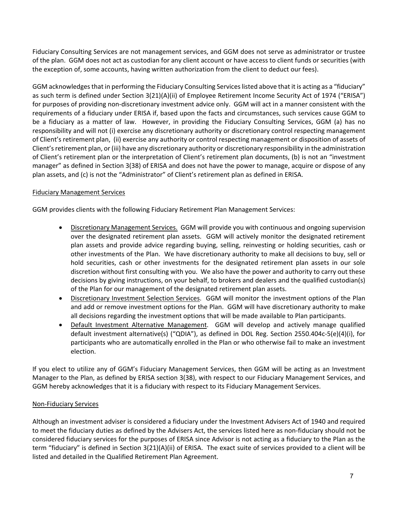Fiduciary Consulting Services are not management services, and GGM does not serve as administrator or trustee of the plan. GGM does not act as custodian for any client account or have access to client funds or securities (with the exception of, some accounts, having written authorization from the client to deduct our fees).

GGM acknowledgesthat in performing the Fiduciary Consulting Serviceslisted above that it is acting as a "fiduciary" as such term is defined under Section 3(21)(A)(ii) of Employee Retirement Income Security Act of 1974 ("ERISA") for purposes of providing non-discretionary investment advice only. GGM will act in a manner consistent with the requirements of a fiduciary under ERISA if, based upon the facts and circumstances, such services cause GGM to be a fiduciary as a matter of law. However, in providing the Fiduciary Consulting Services, GGM (a) has no responsibility and will not (i) exercise any discretionary authority or discretionary control respecting management of Client's retirement plan, (ii) exercise any authority or control respecting management or disposition of assets of Client'sretirement plan, or (iii) have any discretionary authority or discretionary responsibility in the administration of Client's retirement plan or the interpretation of Client's retirement plan documents, (b) is not an "investment manager" as defined in Section 3(38) of ERISA and does not have the power to manage, acquire or dispose of any plan assets, and (c) is not the "Administrator" of Client's retirement plan as defined in ERISA.

# Fiduciary Management Services

GGM provides clients with the following Fiduciary Retirement Plan Management Services:

- Discretionary Management Services. GGM will provide you with continuous and ongoing supervision over the designated retirement plan assets. GGM will actively monitor the designated retirement plan assets and provide advice regarding buying, selling, reinvesting or holding securities, cash or other investments of the Plan. We have discretionary authority to make all decisions to buy, sell or hold securities, cash or other investments for the designated retirement plan assets in our sole discretion without first consulting with you. We also have the power and authority to carry out these decisions by giving instructions, on your behalf, to brokers and dealers and the qualified custodian(s) of the Plan for our management of the designated retirement plan assets.
- Discretionary Investment Selection Services. GGM will monitor the investment options of the Plan and add or remove investment options for the Plan. GGM will have discretionary authority to make all decisions regarding the investment options that will be made available to Plan participants.
- Default Investment Alternative Management. GGM will develop and actively manage qualified default investment alternative(s) ("QDIA"), as defined in DOL Reg. Section 2550.404c‐5(e)(4)(i), for participants who are automatically enrolled in the Plan or who otherwise fail to make an investment election.

If you elect to utilize any of GGM's Fiduciary Management Services, then GGM will be acting as an Investment Manager to the Plan, as defined by ERISA section 3(38), with respect to our Fiduciary Management Services, and GGM hereby acknowledges that it is a fiduciary with respect to its Fiduciary Management Services.

# Non‐Fiduciary Services

Although an investment adviser is considered a fiduciary under the Investment Advisers Act of 1940 and required to meet the fiduciary duties as defined by the Advisers Act, the services listed here as non-fiduciary should not be considered fiduciary services for the purposes of ERISA since Advisor is not acting as a fiduciary to the Plan as the term "fiduciary" is defined in Section 3(21)(A)(ii) of ERISA. The exact suite of services provided to a client will be listed and detailed in the Qualified Retirement Plan Agreement.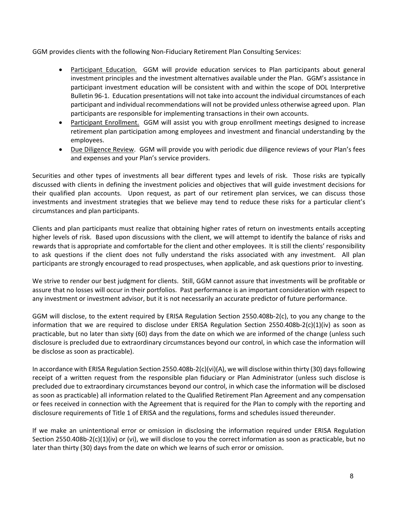GGM provides clients with the following Non-Fiduciary Retirement Plan Consulting Services:

- Participant Education. GGM will provide education services to Plan participants about general investment principles and the investment alternatives available under the Plan. GGM's assistance in participant investment education will be consistent with and within the scope of DOL Interpretive Bulletin 96‐1. Education presentations will not take into account the individual circumstances of each participant and individual recommendations will not be provided unless otherwise agreed upon. Plan participants are responsible for implementing transactions in their own accounts.
- Participant Enrollment. GGM will assist you with group enrollment meetings designed to increase retirement plan participation among employees and investment and financial understanding by the employees.
- Due Diligence Review. GGM will provide you with periodic due diligence reviews of your Plan's fees and expenses and your Plan's service providers.

Securities and other types of investments all bear different types and levels of risk. Those risks are typically discussed with clients in defining the investment policies and objectives that will guide investment decisions for their qualified plan accounts. Upon request, as part of our retirement plan services, we can discuss those investments and investment strategies that we believe may tend to reduce these risks for a particular client's circumstances and plan participants.

Clients and plan participants must realize that obtaining higher rates of return on investments entails accepting higher levels of risk. Based upon discussions with the client, we will attempt to identify the balance of risks and rewards that is appropriate and comfortable for the client and other employees. It is still the clients' responsibility to ask questions if the client does not fully understand the risks associated with any investment. All plan participants are strongly encouraged to read prospectuses, when applicable, and ask questions prior to investing.

We strive to render our best judgment for clients. Still, GGM cannot assure that investments will be profitable or assure that no losses will occur in their portfolios. Past performance is an important consideration with respect to any investment or investment advisor, but it is not necessarily an accurate predictor of future performance.

GGM will disclose, to the extent required by ERISA Regulation Section 2550.408b-2(c), to you any change to the information that we are required to disclose under ERISA Regulation Section 2550.408b-2(c)(1)(iv) as soon as practicable, but no later than sixty (60) days from the date on which we are informed of the change (unless such disclosure is precluded due to extraordinary circumstances beyond our control, in which case the information will be disclose as soon as practicable).

In accordance with ERISA Regulation Section 2550.408b-2(c)(vi)(A), we will disclose within thirty (30) days following receipt of a written request from the responsible plan fiduciary or Plan Administrator (unless such disclose is precluded due to extraordinary circumstances beyond our control, in which case the information will be disclosed as soon as practicable) all information related to the Qualified Retirement Plan Agreement and any compensation or fees received in connection with the Agreement that is required for the Plan to comply with the reporting and disclosure requirements of Title 1 of ERISA and the regulations, forms and schedules issued thereunder.

If we make an unintentional error or omission in disclosing the information required under ERISA Regulation Section 2550.408b-2(c)(1)(iv) or (vi), we will disclose to you the correct information as soon as practicable, but no later than thirty (30) days from the date on which we learns of such error or omission.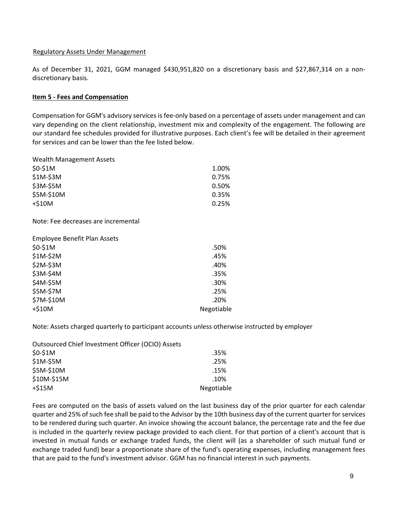### Regulatory Assets Under Management

As of December 31, 2021, GGM managed \$430,951,820 on a discretionary basis and \$27,867,314 on a non‐ discretionary basis.

### **Item 5 ‐ Fees and Compensation**

Compensation for GGM's advisory services is fee‐only based on a percentage of assets under management and can vary depending on the client relationship, investment mix and complexity of the engagement. The following are our standard fee schedules provided for illustrative purposes. Each client's fee will be detailed in their agreement for services and can be lower than the fee listed below.

Wealth Management Assets \$0‐\$1M 1.00%  $$1M-\$3M$   $0.75\%$ 

| \$3M-\$5M  | 0.50% |
|------------|-------|
| \$5M-\$10M | 0.35% |
| +\$10M     | 0.25% |
|            |       |

Note: Fee decreases are incremental

| .50%       |
|------------|
| .45%       |
| .40%       |
| .35%       |
| .30%       |
| .25%       |
| .20%       |
| Negotiable |
|            |

Note: Assets charged quarterly to participant accounts unless otherwise instructed by employer

| Outsourced Chief Investment Officer (OCIO) Assets |            |
|---------------------------------------------------|------------|
| \$0-\$1M                                          | .35%       |
| \$1M-\$5M                                         | .25%       |
| \$5M-\$10M                                        | .15%       |
| \$10M-\$15M                                       | .10%       |
| $+515M$                                           | Negotiable |

Fees are computed on the basis of assets valued on the last business day of the prior quarter for each calendar quarter and 25% of such fee shall be paid to the Advisor by the 10th business day of the current quarter for services to be rendered during such quarter. An invoice showing the account balance, the percentage rate and the fee due is included in the quarterly review package provided to each client. For that portion of a client's account that is invested in mutual funds or exchange traded funds, the client will (as a shareholder of such mutual fund or exchange traded fund) bear a proportionate share of the fund's operating expenses, including management fees that are paid to the fund's investment advisor. GGM has no financial interest in such payments.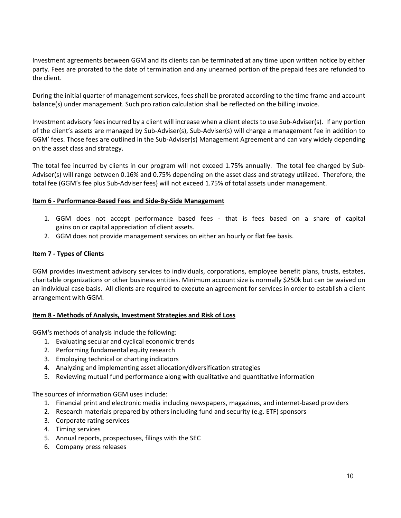Investment agreements between GGM and its clients can be terminated at any time upon written notice by either party. Fees are prorated to the date of termination and any unearned portion of the prepaid fees are refunded to the client.

During the initial quarter of management services, fees shall be prorated according to the time frame and account balance(s) under management. Such pro ration calculation shall be reflected on the billing invoice.

Investment advisory fees incurred by a client will increase when a client elects to use Sub‐Adviser(s). If any portion of the client's assets are managed by Sub‐Adviser(s), Sub‐Adviser(s) will charge a management fee in addition to GGM' fees. Those fees are outlined in the Sub‐Adviser(s) Management Agreement and can vary widely depending on the asset class and strategy.

The total fee incurred by clients in our program will not exceed 1.75% annually. The total fee charged by Sub‐ Adviser(s) will range between 0.16% and 0.75% depending on the asset class and strategy utilized. Therefore, the total fee (GGM's fee plus Sub‐Adviser fees) will not exceed 1.75% of total assets under management.

### **Item 6 ‐ Performance‐Based Fees and Side‐By‐Side Management**

- 1. GGM does not accept performance based fees ‐ that is fees based on a share of capital gains on or capital appreciation of client assets.
- 2. GGM does not provide management services on either an hourly or flat fee basis.

### **Item 7 ‐ Types of Clients**

GGM provides investment advisory services to individuals, corporations, employee benefit plans, trusts, estates, charitable organizations or other business entities. Minimum account size is normally \$250k but can be waived on an individual case basis. All clients are required to execute an agreement for services in order to establish a client arrangement with GGM.

#### **Item 8 ‐ Methods of Analysis, Investment Strategies and Risk of Loss**

GGM's methods of analysis include the following:

- 1. Evaluating secular and cyclical economic trends
- 2. Performing fundamental equity research
- 3. Employing technical or charting indicators
- 4. Analyzing and implementing asset allocation/diversification strategies
- 5. Reviewing mutual fund performance along with qualitative and quantitative information

The sources of information GGM uses include:

- 1. Financial print and electronic media including newspapers, magazines, and internet‐based providers
- 2. Research materials prepared by others including fund and security (e.g. ETF) sponsors
- 3. Corporate rating services
- 4. Timing services
- 5. Annual reports, prospectuses, filings with the SEC
- 6. Company press releases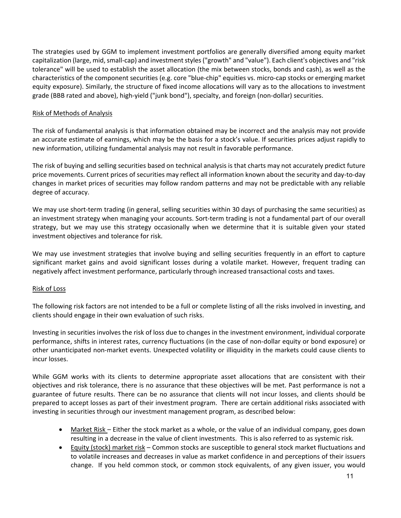The strategies used by GGM to implement investment portfolios are generally diversified among equity market capitalization (large, mid, small-cap) and investment styles ("growth" and "value"). Each client's objectives and "risk tolerance" will be used to establish the asset allocation (the mix between stocks, bonds and cash), as well as the characteristics of the component securities (e.g. core "blue‐chip" equities vs. micro‐cap stocks or emerging market equity exposure). Similarly, the structure of fixed income allocations will vary as to the allocations to investment grade (BBB rated and above), high‐yield ("junk bond"), specialty, and foreign (non‐dollar) securities.

### Risk of Methods of Analysis

The risk of fundamental analysis is that information obtained may be incorrect and the analysis may not provide an accurate estimate of earnings, which may be the basis for a stock's value. If securities prices adjust rapidly to new information, utilizing fundamental analysis may not result in favorable performance.

The risk of buying and selling securities based on technical analysis is that charts may not accurately predict future price movements. Current prices of securities may reflect all information known about the security and day‐to‐day changes in market prices of securities may follow random patterns and may not be predictable with any reliable degree of accuracy.

We may use short-term trading (in general, selling securities within 30 days of purchasing the same securities) as an investment strategy when managing your accounts. Sort‐term trading is not a fundamental part of our overall strategy, but we may use this strategy occasionally when we determine that it is suitable given your stated investment objectives and tolerance for risk.

We may use investment strategies that involve buying and selling securities frequently in an effort to capture significant market gains and avoid significant losses during a volatile market. However, frequent trading can negatively affect investment performance, particularly through increased transactional costs and taxes.

### Risk of Loss

The following risk factors are not intended to be a full or complete listing of all the risks involved in investing, and clients should engage in their own evaluation of such risks.

Investing in securities involves the risk of loss due to changes in the investment environment, individual corporate performance, shifts in interest rates, currency fluctuations (in the case of non‐dollar equity or bond exposure) or other unanticipated non‐market events. Unexpected volatility or illiquidity in the markets could cause clients to incur losses.

While GGM works with its clients to determine appropriate asset allocations that are consistent with their objectives and risk tolerance, there is no assurance that these objectives will be met. Past performance is not a guarantee of future results. There can be no assurance that clients will not incur losses, and clients should be prepared to accept losses as part of their investment program. There are certain additional risks associated with investing in securities through our investment management program, as described below:

- Market Risk Either the stock market as a whole, or the value of an individual company, goes down resulting in a decrease in the value of client investments. This is also referred to as systemic risk.
- Equity (stock) market risk Common stocks are susceptible to general stock market fluctuations and to volatile increases and decreases in value as market confidence in and perceptions of their issuers change. If you held common stock, or common stock equivalents, of any given issuer, you would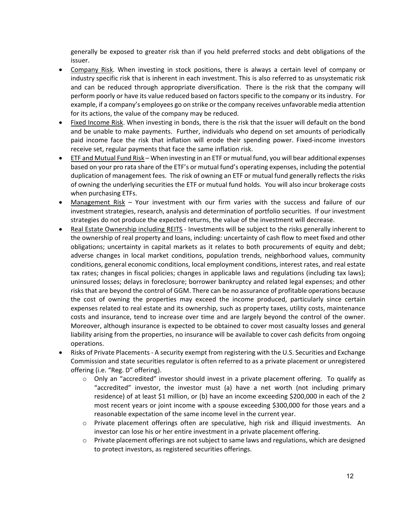generally be exposed to greater risk than if you held preferred stocks and debt obligations of the issuer.

- Company Risk. When investing in stock positions, there is always a certain level of company or industry specific risk that is inherent in each investment. This is also referred to as unsystematic risk and can be reduced through appropriate diversification. There is the risk that the company will perform poorly or have its value reduced based on factors specific to the company or its industry. For example, if a company's employees go on strike or the company receives unfavorable media attention for its actions, the value of the company may be reduced.
- Fixed Income Risk. When investing in bonds, there is the risk that the issuer will default on the bond and be unable to make payments. Further, individuals who depend on set amounts of periodically paid income face the risk that inflation will erode their spending power. Fixed-income investors receive set, regular payments that face the same inflation risk.
- ETF and Mutual Fund Risk When investing in an ETF or mutual fund, you will bear additional expenses based on your pro rata share of the ETF's or mutual fund's operating expenses, including the potential duplication of management fees. The risk of owning an ETF or mutual fund generally reflects the risks of owning the underlying securities the ETF or mutual fund holds. You will also incur brokerage costs when purchasing ETFs.
- Management Risk Your investment with our firm varies with the success and failure of our investment strategies, research, analysis and determination of portfolio securities. If our investment strategies do not produce the expected returns, the value of the investment will decrease.
- Real Estate Ownership including REITS ‐ Investments will be subject to the risks generally inherent to the ownership of real property and loans, including: uncertainty of cash flow to meet fixed and other obligations; uncertainty in capital markets as it relates to both procurements of equity and debt; adverse changes in local market conditions, population trends, neighborhood values, community conditions, general economic conditions, local employment conditions, interest rates, and real estate tax rates; changes in fiscal policies; changes in applicable laws and regulations (including tax laws); uninsured losses; delays in foreclosure; borrower bankruptcy and related legal expenses; and other risksthat are beyond the control of GGM. There can be no assurance of profitable operations because the cost of owning the properties may exceed the income produced, particularly since certain expenses related to real estate and its ownership, such as property taxes, utility costs, maintenance costs and insurance, tend to increase over time and are largely beyond the control of the owner. Moreover, although insurance is expected to be obtained to cover most casualty losses and general liability arising from the properties, no insurance will be available to cover cash deficits from ongoing operations.
- Risks of Private Placements ‐ A security exempt from registering with the U.S. Securities and Exchange Commission and state securities regulator is often referred to as a private placement or unregistered offering (i.e. "Reg. D" offering).
	- o Only an "accredited" investor should invest in a private placement offering. To qualify as "accredited" investor, the investor must (a) have a net worth (not including primary residence) of at least \$1 million, or (b) have an income exceeding \$200,000 in each of the 2 most recent years or joint income with a spouse exceeding \$300,000 for those years and a reasonable expectation of the same income level in the current year.
	- o Private placement offerings often are speculative, high risk and illiquid investments. An investor can lose his or her entire investment in a private placement offering.
	- $\circ$  Private placement offerings are not subject to same laws and regulations, which are designed to protect investors, as registered securities offerings.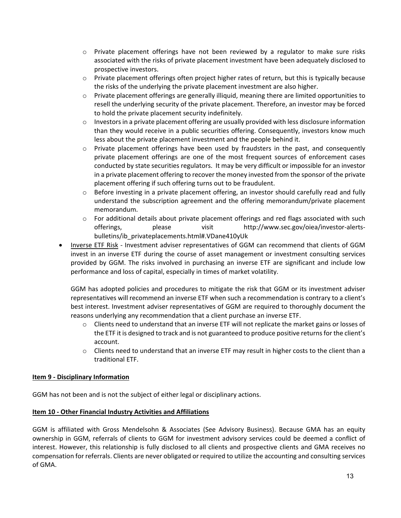- $\circ$  Private placement offerings have not been reviewed by a regulator to make sure risks associated with the risks of private placement investment have been adequately disclosed to prospective investors.
- o Private placement offerings often project higher rates of return, but this is typically because the risks of the underlying the private placement investment are also higher.
- $\circ$  Private placement offerings are generally illiquid, meaning there are limited opportunities to resell the underlying security of the private placement. Therefore, an investor may be forced to hold the private placement security indefinitely.
- $\circ$  Investors in a private placement offering are usually provided with less disclosure information than they would receive in a public securities offering. Consequently, investors know much less about the private placement investment and the people behind it.
- $\circ$  Private placement offerings have been used by fraudsters in the past, and consequently private placement offerings are one of the most frequent sources of enforcement cases conducted by state securities regulators. It may be very difficult or impossible for an investor in a private placement offering to recover the money invested from the sponsor of the private placement offering if such offering turns out to be fraudulent.
- $\circ$  Before investing in a private placement offering, an investor should carefully read and fully understand the subscription agreement and the offering memorandum/private placement memorandum.
- o For additional details about private placement offerings and red flags associated with such offerings, please visit http://www.sec.gov/oiea/investor‐alerts‐ bulletins/ib\_privateplacements.html#.VDane410yUk
- Inverse ETF Risk Investment adviser representatives of GGM can recommend that clients of GGM invest in an inverse ETF during the course of asset management or investment consulting services provided by GGM. The risks involved in purchasing an inverse ETF are significant and include low performance and loss of capital, especially in times of market volatility.

GGM has adopted policies and procedures to mitigate the risk that GGM or its investment adviser representatives will recommend an inverse ETF when such a recommendation is contrary to a client's best interest. Investment adviser representatives of GGM are required to thoroughly document the reasons underlying any recommendation that a client purchase an inverse ETF.

- $\circ$  Clients need to understand that an inverse ETF will not replicate the market gains or losses of the ETF it is designed to track and is not guaranteed to produce positive returnsfor the client's account.
- o Clients need to understand that an inverse ETF may result in higher costs to the client than a traditional ETF.

# **Item 9 ‐ Disciplinary Information**

GGM has not been and is not the subject of either legal or disciplinary actions.

### **Item 10 ‐ Other Financial Industry Activities and Affiliations**

GGM is affiliated with Gross Mendelsohn & Associates (See Advisory Business). Because GMA has an equity ownership in GGM, referrals of clients to GGM for investment advisory services could be deemed a conflict of interest. However, this relationship is fully disclosed to all clients and prospective clients and GMA receives no compensation for referrals. Clients are never obligated or required to utilize the accounting and consulting services of GMA.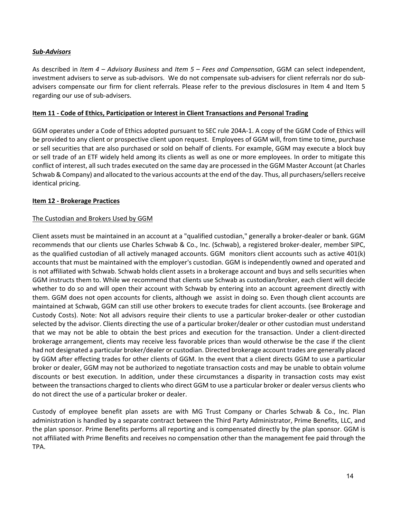### *Sub‐Advisors*

As described in *Item 4 – Advisory Business* and *Item 5 – Fees and Compensation*, GGM can select independent, investment advisers to serve as sub‐advisors. We do not compensate sub‐advisers for client referrals nor do sub‐ advisers compensate our firm for client referrals. Please refer to the previous disclosures in Item 4 and Item 5 regarding our use of sub‐advisers.

### **Item 11 ‐ Code of Ethics, Participation or Interest in Client Transactions and Personal Trading**

GGM operates under a Code of Ethics adopted pursuant to SEC rule 204A‐1. A copy of the GGM Code of Ethics will be provided to any client or prospective client upon request. Employees of GGM will, from time to time, purchase or sell securities that are also purchased or sold on behalf of clients. For example, GGM may execute a block buy or sell trade of an ETF widely held among its clients as well as one or more employees. In order to mitigate this conflict of interest, all such trades executed on the same day are processed in the GGM Master Account (at Charles Schwab & Company) and allocated to the various accounts at the end of the day. Thus, all purchasers/sellers receive identical pricing.

# **Item 12 ‐ Brokerage Practices**

### The Custodian and Brokers Used by GGM

Client assets must be maintained in an account at a "qualified custodian," generally a broker‐dealer or bank. GGM recommends that our clients use Charles Schwab & Co., Inc. (Schwab), a registered broker‐dealer, member SIPC, as the qualified custodian of all actively managed accounts. GGM monitors client accounts such as active 401(k) accounts that must be maintained with the employer's custodian. GGM is independently owned and operated and is not affiliated with Schwab. Schwab holds client assets in a brokerage account and buys and sells securities when GGM instructs them to. While we recommend that clients use Schwab as custodian/broker, each client will decide whether to do so and will open their account with Schwab by entering into an account agreement directly with them. GGM does not open accounts for clients, although we assist in doing so. Even though client accounts are maintained at Schwab, GGM can still use other brokers to execute trades for client accounts. (see Brokerage and Custody Costs). Note: Not all advisors require their clients to use a particular broker‐dealer or other custodian selected by the advisor. Clients directing the use of a particular broker/dealer or other custodian must understand that we may not be able to obtain the best prices and execution for the transaction. Under a client‐directed brokerage arrangement, clients may receive less favorable prices than would otherwise be the case if the client had not designated a particular broker/dealer or custodian. Directed brokerage account trades are generally placed by GGM after effecting trades for other clients of GGM. In the event that a client directs GGM to use a particular broker or dealer, GGM may not be authorized to negotiate transaction costs and may be unable to obtain volume discounts or best execution. In addition, under these circumstances a disparity in transaction costs may exist between the transactions charged to clients who direct GGM to use a particular broker or dealer versus clients who do not direct the use of a particular broker or dealer.

Custody of employee benefit plan assets are with MG Trust Company or Charles Schwab & Co., Inc. Plan administration is handled by a separate contract between the Third Party Administrator, Prime Benefits, LLC, and the plan sponsor. Prime Benefits performs all reporting and is compensated directly by the plan sponsor. GGM is not affiliated with Prime Benefits and receives no compensation other than the management fee paid through the TPA.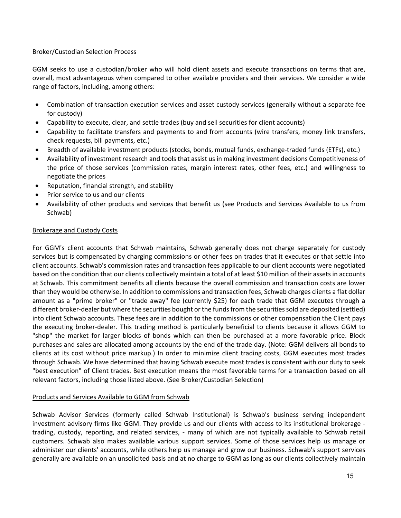### Broker/Custodian Selection Process

GGM seeks to use a custodian/broker who will hold client assets and execute transactions on terms that are, overall, most advantageous when compared to other available providers and their services. We consider a wide range of factors, including, among others:

- Combination of transaction execution services and asset custody services (generally without a separate fee for custody)
- Capability to execute, clear, and settle trades (buy and sell securities for client accounts)
- Capability to facilitate transfers and payments to and from accounts (wire transfers, money link transfers, check requests, bill payments, etc.)
- Breadth of available investment products (stocks, bonds, mutual funds, exchange-traded funds (ETFs), etc.)
- Availability of investment research and tools that assist us in making investment decisions Competitiveness of the price of those services (commission rates, margin interest rates, other fees, etc.) and willingness to negotiate the prices
- Reputation, financial strength, and stability
- Prior service to us and our clients
- Availability of other products and services that benefit us (see Products and Services Available to us from Schwab)

# Brokerage and Custody Costs

For GGM's client accounts that Schwab maintains, Schwab generally does not charge separately for custody services but is compensated by charging commissions or other fees on trades that it executes or that settle into client accounts. Schwab's commission rates and transaction fees applicable to our client accounts were negotiated based on the condition that our clients collectively maintain a total of at least \$10 million of their assets in accounts at Schwab. This commitment benefits all clients because the overall commission and transaction costs are lower than they would be otherwise. In addition to commissions and transaction fees, Schwab charges clients a flat dollar amount as a "prime broker" or "trade away" fee (currently \$25) for each trade that GGM executes through a different broker-dealer but where the securities bought or the funds from the securities sold are deposited (settled) into client Schwab accounts. These fees are in addition to the commissions or other compensation the Client pays the executing broker‐dealer. This trading method is particularly beneficial to clients because it allows GGM to "shop" the market for larger blocks of bonds which can then be purchased at a more favorable price. Block purchases and sales are allocated among accounts by the end of the trade day. (Note: GGM delivers all bonds to clients at its cost without price markup.) In order to minimize client trading costs, GGM executes most trades through Schwab. We have determined that having Schwab execute most trades is consistent with our duty to seek "best execution" of Client trades. Best execution means the most favorable terms for a transaction based on all relevant factors, including those listed above. (See Broker/Custodian Selection)

# Products and Services Available to GGM from Schwab

Schwab Advisor Services (formerly called Schwab Institutional) is Schwab's business serving independent investment advisory firms like GGM. They provide us and our clients with access to its institutional brokerage ‐ trading, custody, reporting, and related services, ‐ many of which are not typically available to Schwab retail customers. Schwab also makes available various support services. Some of those services help us manage or administer our clients' accounts, while others help us manage and grow our business. Schwab's support services generally are available on an unsolicited basis and at no charge to GGM as long as our clients collectively maintain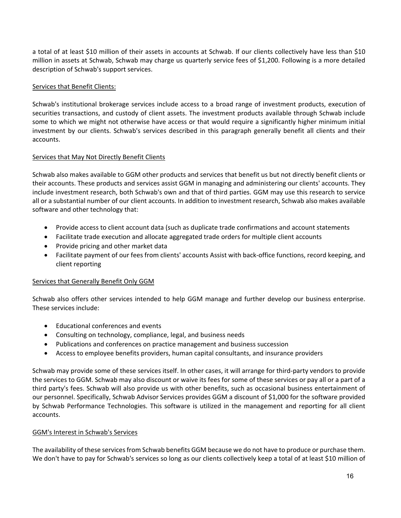a total of at least \$10 million of their assets in accounts at Schwab. If our clients collectively have less than \$10 million in assets at Schwab, Schwab may charge us quarterly service fees of \$1,200. Following is a more detailed description of Schwab's support services.

## Services that Benefit Clients:

Schwab's institutional brokerage services include access to a broad range of investment products, execution of securities transactions, and custody of client assets. The investment products available through Schwab include some to which we might not otherwise have access or that would require a significantly higher minimum initial investment by our clients. Schwab's services described in this paragraph generally benefit all clients and their accounts.

### Services that May Not Directly Benefit Clients

Schwab also makes available to GGM other products and services that benefit us but not directly benefit clients or their accounts. These products and services assist GGM in managing and administering our clients' accounts. They include investment research, both Schwab's own and that of third parties. GGM may use this research to service all or a substantial number of our client accounts. In addition to investment research, Schwab also makes available software and other technology that:

- Provide access to client account data (such as duplicate trade confirmations and account statements
- Facilitate trade execution and allocate aggregated trade orders for multiple client accounts
- Provide pricing and other market data
- Facilitate payment of our fees from clients' accounts Assist with back-office functions, record keeping, and client reporting

# Services that Generally Benefit Only GGM

Schwab also offers other services intended to help GGM manage and further develop our business enterprise. These services include:

- Educational conferences and events
- Consulting on technology, compliance, legal, and business needs
- Publications and conferences on practice management and business succession
- Access to employee benefits providers, human capital consultants, and insurance providers

Schwab may provide some of these services itself. In other cases, it will arrange for third‐party vendors to provide the services to GGM. Schwab may also discount or waive its fees for some of these services or pay all or a part of a third party's fees. Schwab will also provide us with other benefits, such as occasional business entertainment of our personnel. Specifically, Schwab Advisor Services provides GGM a discount of \$1,000 for the software provided by Schwab Performance Technologies. This software is utilized in the management and reporting for all client accounts.

### GGM's Interest in Schwab's Services

The availability of these services from Schwab benefits GGM because we do not have to produce or purchase them. We don't have to pay for Schwab's services so long as our clients collectively keep a total of at least \$10 million of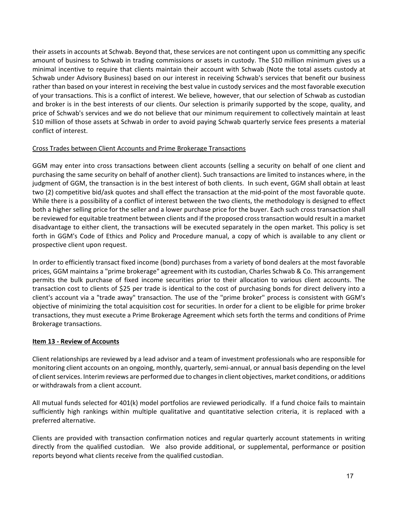their assets in accounts at Schwab. Beyond that, these services are not contingent upon us committing any specific amount of business to Schwab in trading commissions or assets in custody. The \$10 million minimum gives us a minimal incentive to require that clients maintain their account with Schwab (Note the total assets custody at Schwab under Advisory Business) based on our interest in receiving Schwab's services that benefit our business rather than based on your interest in receiving the best value in custody services and the most favorable execution of your transactions. This is a conflict of interest. We believe, however, that our selection of Schwab as custodian and broker is in the best interests of our clients. Our selection is primarily supported by the scope, quality, and price of Schwab's services and we do not believe that our minimum requirement to collectively maintain at least \$10 million of those assets at Schwab in order to avoid paying Schwab quarterly service fees presents a material conflict of interest.

### Cross Trades between Client Accounts and Prime Brokerage Transactions

GGM may enter into cross transactions between client accounts (selling a security on behalf of one client and purchasing the same security on behalf of another client). Such transactions are limited to instances where, in the judgment of GGM, the transaction is in the best interest of both clients. In such event, GGM shall obtain at least two (2) competitive bid/ask quotes and shall effect the transaction at the mid‐point of the most favorable quote. While there is a possibility of a conflict of interest between the two clients, the methodology is designed to effect both a higher selling price for the seller and a lower purchase price for the buyer. Each such cross transaction shall be reviewed for equitable treatment between clients and if the proposed crosstransaction would result in a market disadvantage to either client, the transactions will be executed separately in the open market. This policy is set forth in GGM's Code of Ethics and Policy and Procedure manual, a copy of which is available to any client or prospective client upon request.

In order to efficiently transact fixed income (bond) purchases from a variety of bond dealers at the most favorable prices, GGM maintains a "prime brokerage" agreement with its custodian, Charles Schwab & Co. This arrangement permits the bulk purchase of fixed income securities prior to their allocation to various client accounts. The transaction cost to clients of \$25 per trade is identical to the cost of purchasing bonds for direct delivery into a client's account via a "trade away" transaction. The use of the "prime broker" process is consistent with GGM's objective of minimizing the total acquisition cost for securities. In order for a client to be eligible for prime broker transactions, they must execute a Prime Brokerage Agreement which sets forth the terms and conditions of Prime Brokerage transactions.

# **Item 13 ‐ Review of Accounts**

Client relationships are reviewed by a lead advisor and a team of investment professionals who are responsible for monitoring client accounts on an ongoing, monthly, quarterly, semi‐annual, or annual basis depending on the level of client services. Interim reviews are performed due to changes in client objectives, market conditions, or additions or withdrawals from a client account.

All mutual funds selected for 401(k) model portfolios are reviewed periodically. If a fund choice fails to maintain sufficiently high rankings within multiple qualitative and quantitative selection criteria, it is replaced with a preferred alternative.

Clients are provided with transaction confirmation notices and regular quarterly account statements in writing directly from the qualified custodian. We also provide additional, or supplemental, performance or position reports beyond what clients receive from the qualified custodian.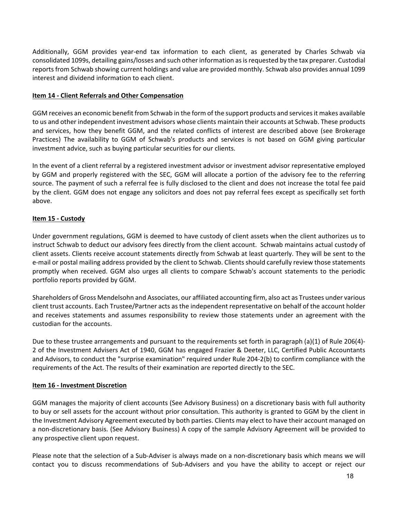Additionally, GGM provides year-end tax information to each client, as generated by Charles Schwab via consolidated 1099s, detailing gains/losses and such other information asisrequested by the tax preparer. Custodial reports from Schwab showing current holdings and value are provided monthly. Schwab also provides annual 1099 interest and dividend information to each client.

### **Item 14 ‐ Client Referrals and Other Compensation**

GGM receives an economic benefit from Schwab in the form of the support products and servicesit makes available to us and other independent investment advisors whose clients maintain their accounts at Schwab. These products and services, how they benefit GGM, and the related conflicts of interest are described above (see Brokerage Practices) The availability to GGM of Schwab's products and services is not based on GGM giving particular investment advice, such as buying particular securities for our clients.

In the event of a client referral by a registered investment advisor or investment advisor representative employed by GGM and properly registered with the SEC, GGM will allocate a portion of the advisory fee to the referring source. The payment of such a referral fee is fully disclosed to the client and does not increase the total fee paid by the client. GGM does not engage any solicitors and does not pay referral fees except as specifically set forth above.

# **Item 15 ‐ Custody**

Under government regulations, GGM is deemed to have custody of client assets when the client authorizes us to instruct Schwab to deduct our advisory fees directly from the client account. Schwab maintains actual custody of client assets. Clients receive account statements directly from Schwab at least quarterly. They will be sent to the e‐mail or postal mailing address provided by the client to Schwab. Clients should carefully review those statements promptly when received. GGM also urges all clients to compare Schwab's account statements to the periodic portfolio reports provided by GGM.

Shareholders of Gross Mendelsohn and Associates, our affiliated accounting firm, also act as Trustees under various client trust accounts. Each Trustee/Partner acts as the independent representative on behalf of the account holder and receives statements and assumes responsibility to review those statements under an agreement with the custodian for the accounts.

Due to these trustee arrangements and pursuant to the requirements set forth in paragraph (a)(1) of Rule 206(4)-2 of the Investment Advisers Act of 1940, GGM has engaged Frazier & Deeter, LLC, Certified Public Accountants and Advisors, to conduct the "surprise examination" required under Rule 204‐2(b) to confirm compliance with the requirements of the Act. The results of their examination are reported directly to the SEC.

# **Item 16 ‐ Investment Discretion**

GGM manages the majority of client accounts (See Advisory Business) on a discretionary basis with full authority to buy or sell assets for the account without prior consultation. This authority is granted to GGM by the client in the Investment Advisory Agreement executed by both parties. Clients may elect to have their account managed on a non‐discretionary basis. (See Advisory Business) A copy of the sample Advisory Agreement will be provided to any prospective client upon request.

Please note that the selection of a Sub‐Adviser is always made on a non‐discretionary basis which means we will contact you to discuss recommendations of Sub‐Advisers and you have the ability to accept or reject our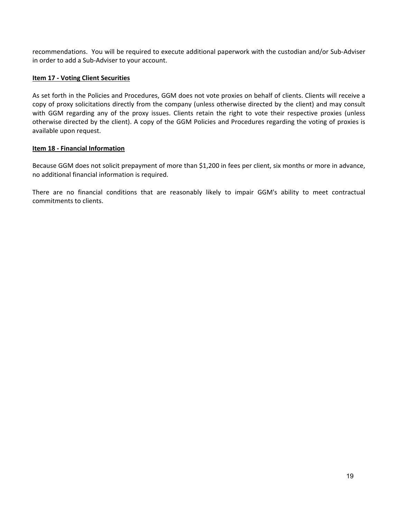recommendations. You will be required to execute additional paperwork with the custodian and/or Sub‐Adviser in order to add a Sub‐Adviser to your account.

### **Item 17 ‐ Voting Client Securities**

As set forth in the Policies and Procedures, GGM does not vote proxies on behalf of clients. Clients will receive a copy of proxy solicitations directly from the company (unless otherwise directed by the client) and may consult with GGM regarding any of the proxy issues. Clients retain the right to vote their respective proxies (unless otherwise directed by the client). A copy of the GGM Policies and Procedures regarding the voting of proxies is available upon request.

### **Item 18 ‐ Financial Information**

Because GGM does not solicit prepayment of more than \$1,200 in fees per client, six months or more in advance, no additional financial information is required.

There are no financial conditions that are reasonably likely to impair GGM's ability to meet contractual commitments to clients.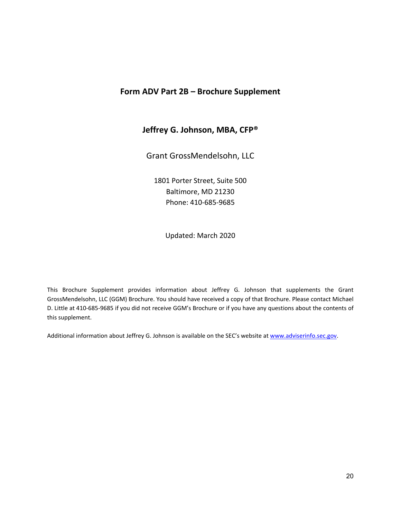# **Form ADV Part 2B – Brochure Supplement**

# **Jeffrey G. Johnson, MBA, CFP®**

Grant GrossMendelsohn, LLC

1801 Porter Street, Suite 500 Baltimore, MD 21230 Phone: 410‐685‐9685

Updated: March 2020

This Brochure Supplement provides information about Jeffrey G. Johnson that supplements the Grant GrossMendelsohn, LLC (GGM) Brochure. You should have received a copy of that Brochure. Please contact Michael D. Little at 410‐685‐9685 if you did not receive GGM's Brochure or if you have any questions about the contents of this supplement.

Additional information about Jeffrey G. Johnson is available on the SEC's website at www.adviserinfo.sec.gov.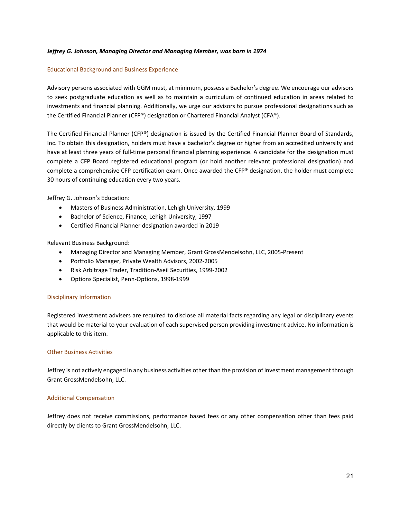#### *Jeffrey G. Johnson, Managing Director and Managing Member, was born in 1974*

#### Educational Background and Business Experience

Advisory persons associated with GGM must, at minimum, possess a Bachelor's degree. We encourage our advisors to seek postgraduate education as well as to maintain a curriculum of continued education in areas related to investments and financial planning. Additionally, we urge our advisors to pursue professional designations such as the Certified Financial Planner (CFP®) designation or Chartered Financial Analyst (CFA®).

The Certified Financial Planner (CFP®) designation is issued by the Certified Financial Planner Board of Standards, Inc. To obtain this designation, holders must have a bachelor's degree or higher from an accredited university and have at least three years of full-time personal financial planning experience. A candidate for the designation must complete a CFP Board registered educational program (or hold another relevant professional designation) and complete a comprehensive CFP certification exam. Once awarded the CFP® designation, the holder must complete 30 hours of continuing education every two years.

Jeffrey G. Johnson's Education:

- Masters of Business Administration, Lehigh University, 1999
- Bachelor of Science, Finance, Lehigh University, 1997
- Certified Financial Planner designation awarded in 2019

Relevant Business Background:

- Managing Director and Managing Member, Grant GrossMendelsohn, LLC, 2005‐Present
- Portfolio Manager, Private Wealth Advisors, 2002‐2005
- Risk Arbitrage Trader, Tradition‐Aseil Securities, 1999‐2002
- Options Specialist, Penn‐Options, 1998‐1999

#### Disciplinary Information

Registered investment advisers are required to disclose all material facts regarding any legal or disciplinary events that would be material to your evaluation of each supervised person providing investment advice. No information is applicable to this item.

#### Other Business Activities

Jeffrey is not actively engaged in any business activities other than the provision of investment management through Grant GrossMendelsohn, LLC.

#### Additional Compensation

Jeffrey does not receive commissions, performance based fees or any other compensation other than fees paid directly by clients to Grant GrossMendelsohn, LLC.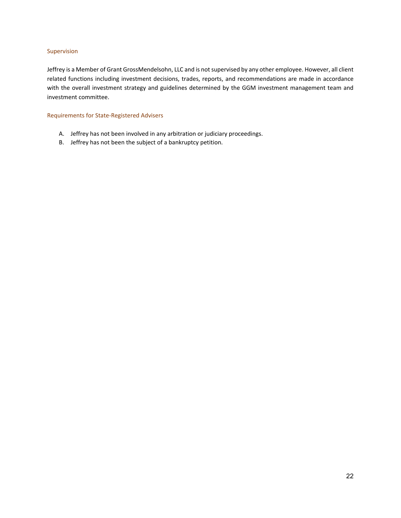#### Supervision

Jeffrey is a Member of Grant GrossMendelsohn, LLC and is not supervised by any other employee. However, all client related functions including investment decisions, trades, reports, and recommendations are made in accordance with the overall investment strategy and guidelines determined by the GGM investment management team and investment committee.

#### Requirements for State‐Registered Advisers

- A. Jeffrey has not been involved in any arbitration or judiciary proceedings.
- B. Jeffrey has not been the subject of a bankruptcy petition.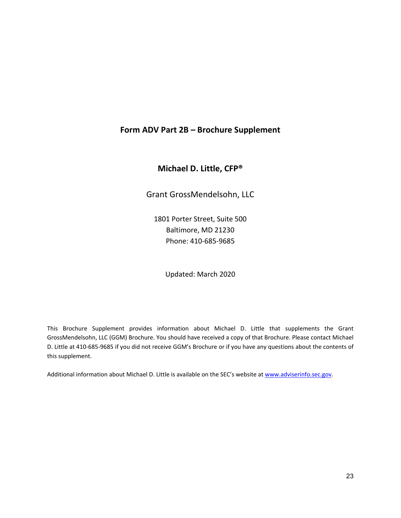# **Form ADV Part 2B – Brochure Supplement**

**Michael D. Little, CFP®**

Grant GrossMendelsohn, LLC

1801 Porter Street, Suite 500 Baltimore, MD 21230 Phone: 410‐685‐9685

Updated: March 2020

This Brochure Supplement provides information about Michael D. Little that supplements the Grant GrossMendelsohn, LLC (GGM) Brochure. You should have received a copy of that Brochure. Please contact Michael D. Little at 410‐685‐9685 if you did not receive GGM's Brochure or if you have any questions about the contents of this supplement.

Additional information about Michael D. Little is available on the SEC's website at www.adviserinfo.sec.gov.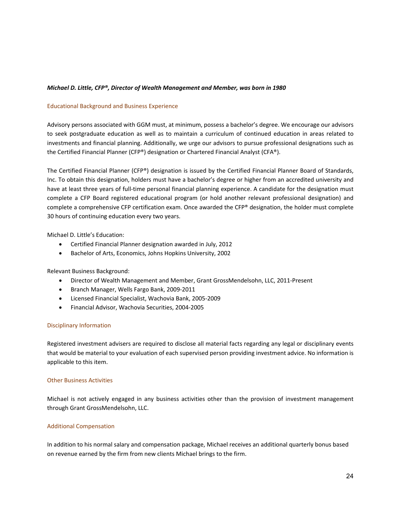#### *Michael D. Little, CFP®, Director of Wealth Management and Member, was born in 1980*

#### Educational Background and Business Experience

Advisory persons associated with GGM must, at minimum, possess a bachelor's degree. We encourage our advisors to seek postgraduate education as well as to maintain a curriculum of continued education in areas related to investments and financial planning. Additionally, we urge our advisors to pursue professional designations such as the Certified Financial Planner (CFP®) designation or Chartered Financial Analyst (CFA®).

The Certified Financial Planner (CFP®) designation is issued by the Certified Financial Planner Board of Standards, Inc. To obtain this designation, holders must have a bachelor's degree or higher from an accredited university and have at least three years of full-time personal financial planning experience. A candidate for the designation must complete a CFP Board registered educational program (or hold another relevant professional designation) and complete a comprehensive CFP certification exam. Once awarded the CFP® designation, the holder must complete 30 hours of continuing education every two years.

Michael D. Little's Education:

- Certified Financial Planner designation awarded in July, 2012
- Bachelor of Arts, Economics, Johns Hopkins University, 2002

Relevant Business Background:

- Director of Wealth Management and Member, Grant GrossMendelsohn, LLC, 2011‐Present
- Branch Manager, Wells Fargo Bank, 2009-2011
- Licensed Financial Specialist, Wachovia Bank, 2005‐2009
- Financial Advisor, Wachovia Securities, 2004‐2005

#### Disciplinary Information

Registered investment advisers are required to disclose all material facts regarding any legal or disciplinary events that would be material to your evaluation of each supervised person providing investment advice. No information is applicable to this item.

#### Other Business Activities

Michael is not actively engaged in any business activities other than the provision of investment management through Grant GrossMendelsohn, LLC.

#### Additional Compensation

In addition to his normal salary and compensation package, Michael receives an additional quarterly bonus based on revenue earned by the firm from new clients Michael brings to the firm.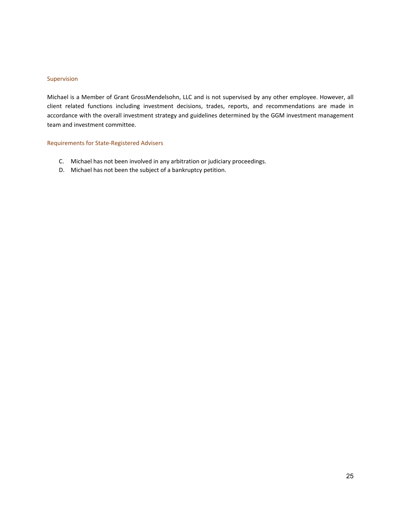#### Supervision

Michael is a Member of Grant GrossMendelsohn, LLC and is not supervised by any other employee. However, all client related functions including investment decisions, trades, reports, and recommendations are made in accordance with the overall investment strategy and guidelines determined by the GGM investment management team and investment committee.

#### Requirements for State‐Registered Advisers

- C. Michael has not been involved in any arbitration or judiciary proceedings.
- D. Michael has not been the subject of a bankruptcy petition.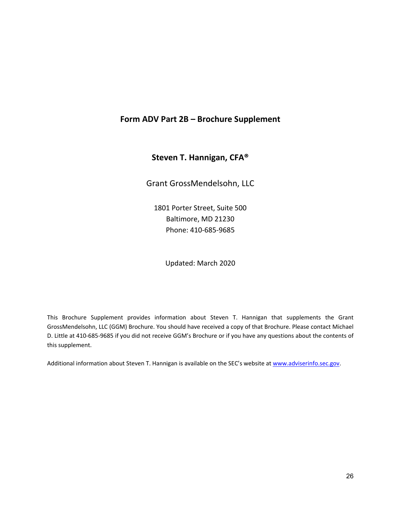# **Form ADV Part 2B – Brochure Supplement**

# **Steven T. Hannigan, CFA®**

Grant GrossMendelsohn, LLC

1801 Porter Street, Suite 500 Baltimore, MD 21230 Phone: 410‐685‐9685

Updated: March 2020

This Brochure Supplement provides information about Steven T. Hannigan that supplements the Grant GrossMendelsohn, LLC (GGM) Brochure. You should have received a copy of that Brochure. Please contact Michael D. Little at 410‐685‐9685 if you did not receive GGM's Brochure or if you have any questions about the contents of this supplement.

Additional information about Steven T. Hannigan is available on the SEC's website at www.adviserinfo.sec.gov.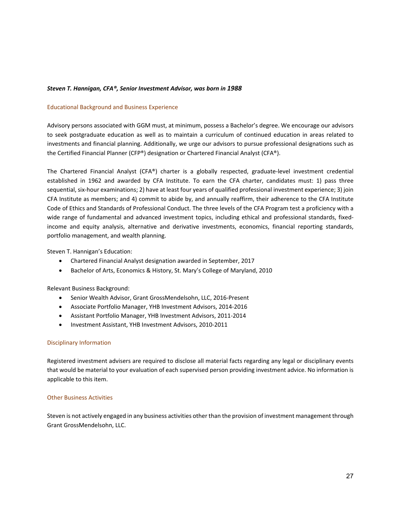#### *Steven T. Hannigan, CFA®, Senior Investment Advisor, was born in 1988*

#### Educational Background and Business Experience

Advisory persons associated with GGM must, at minimum, possess a Bachelor's degree. We encourage our advisors to seek postgraduate education as well as to maintain a curriculum of continued education in areas related to investments and financial planning. Additionally, we urge our advisors to pursue professional designations such as the Certified Financial Planner (CFP®) designation or Chartered Financial Analyst (CFA®).

The Chartered Financial Analyst (CFA®) charter is a globally respected, graduate‐level investment credential established in 1962 and awarded by CFA Institute. To earn the CFA charter, candidates must: 1) pass three sequential, six-hour examinations; 2) have at least four years of qualified professional investment experience; 3) join CFA Institute as members; and 4) commit to abide by, and annually reaffirm, their adherence to the CFA Institute Code of Ethics and Standards of Professional Conduct. The three levels of the CFA Program test a proficiency with a wide range of fundamental and advanced investment topics, including ethical and professional standards, fixedincome and equity analysis, alternative and derivative investments, economics, financial reporting standards, portfolio management, and wealth planning.

Steven T. Hannigan's Education:

- Chartered Financial Analyst designation awarded in September, 2017
- Bachelor of Arts, Economics & History, St. Mary's College of Maryland, 2010

Relevant Business Background:

- Senior Wealth Advisor, Grant GrossMendelsohn, LLC, 2016-Present
- Associate Portfolio Manager, YHB Investment Advisors, 2014‐2016
- Assistant Portfolio Manager, YHB Investment Advisors, 2011‐2014
- Investment Assistant, YHB Investment Advisors, 2010-2011

#### Disciplinary Information

Registered investment advisers are required to disclose all material facts regarding any legal or disciplinary events that would be material to your evaluation of each supervised person providing investment advice. No information is applicable to this item.

#### Other Business Activities

Steven is not actively engaged in any business activities other than the provision of investment management through Grant GrossMendelsohn, LLC.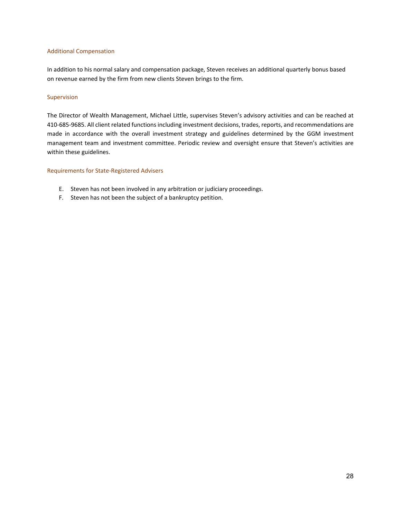#### Additional Compensation

In addition to his normal salary and compensation package, Steven receives an additional quarterly bonus based on revenue earned by the firm from new clients Steven brings to the firm.

#### Supervision

The Director of Wealth Management, Michael Little, supervises Steven's advisory activities and can be reached at 410‐685‐9685. All client related functionsincluding investment decisions, trades, reports, and recommendations are made in accordance with the overall investment strategy and guidelines determined by the GGM investment management team and investment committee. Periodic review and oversight ensure that Steven's activities are within these guidelines.

#### Requirements for State‐Registered Advisers

- E. Steven has not been involved in any arbitration or judiciary proceedings.
- F. Steven has not been the subject of a bankruptcy petition.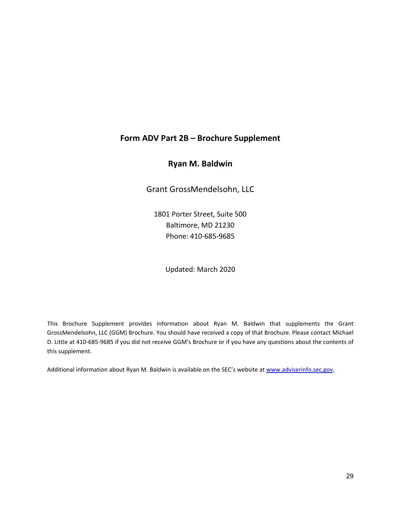# **Form ADV Part 2B – Brochure Supplement**

# **Ryan M. Baldwin**

Grant GrossMendelsohn, LLC

1801 Porter Street, Suite 500 Baltimore, MD 21230 Phone: 410‐685‐9685

Updated: March 2020

This Brochure Supplement provides information about Ryan M. Baldwin that supplements the Grant GrossMendelsohn, LLC (GGM) Brochure. You should have received a copy of that Brochure. Please contact Michael D. Little at 410‐685‐9685 if you did not receive GGM's Brochure or if you have any questions about the contents of this supplement.

Additional information about Ryan M. Baldwin is available on the SEC's website at www.adviserinfo.sec.gov.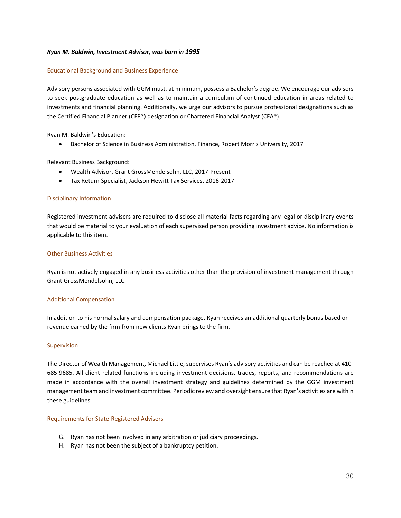#### *Ryan M. Baldwin, Investment Advisor, was born in 1995*

#### Educational Background and Business Experience

Advisory persons associated with GGM must, at minimum, possess a Bachelor's degree. We encourage our advisors to seek postgraduate education as well as to maintain a curriculum of continued education in areas related to investments and financial planning. Additionally, we urge our advisors to pursue professional designations such as the Certified Financial Planner (CFP®) designation or Chartered Financial Analyst (CFA®).

Ryan M. Baldwin's Education:

**•** Bachelor of Science in Business Administration, Finance, Robert Morris University, 2017

Relevant Business Background:

- Wealth Advisor, Grant GrossMendelsohn, LLC, 2017‐Present
- Tax Return Specialist, Jackson Hewitt Tax Services, 2016‐2017

#### Disciplinary Information

Registered investment advisers are required to disclose all material facts regarding any legal or disciplinary events that would be material to your evaluation of each supervised person providing investment advice. No information is applicable to this item.

#### Other Business Activities

Ryan is not actively engaged in any business activities other than the provision of investment management through Grant GrossMendelsohn, LLC.

#### Additional Compensation

In addition to his normal salary and compensation package, Ryan receives an additional quarterly bonus based on revenue earned by the firm from new clients Ryan brings to the firm.

#### Supervision

The Director of Wealth Management, Michael Little, supervises Ryan's advisory activities and can be reached at 410‐ 685‐9685. All client related functions including investment decisions, trades, reports, and recommendations are made in accordance with the overall investment strategy and guidelines determined by the GGM investment management team and investment committee. Periodic review and oversight ensure that Ryan's activities are within these guidelines.

#### Requirements for State‐Registered Advisers

- G. Ryan has not been involved in any arbitration or judiciary proceedings.
- H. Ryan has not been the subject of a bankruptcy petition.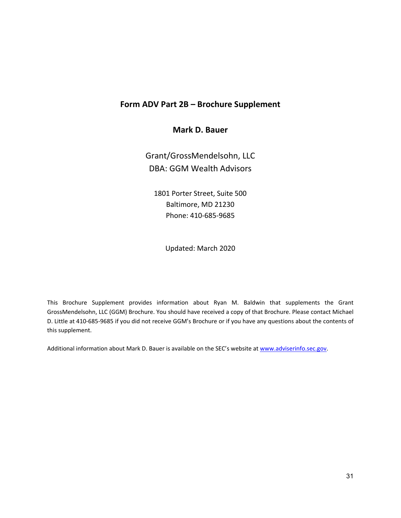# **Form ADV Part 2B – Brochure Supplement**

# **Mark D. Bauer**

Grant/GrossMendelsohn, LLC DBA: GGM Wealth Advisors

1801 Porter Street, Suite 500 Baltimore, MD 21230 Phone: 410‐685‐9685

Updated: March 2020

This Brochure Supplement provides information about Ryan M. Baldwin that supplements the Grant GrossMendelsohn, LLC (GGM) Brochure. You should have received a copy of that Brochure. Please contact Michael D. Little at 410‐685‐9685 if you did not receive GGM's Brochure or if you have any questions about the contents of this supplement.

Additional information about Mark D. Bauer is available on the SEC's website at www.adviserinfo.sec.gov.